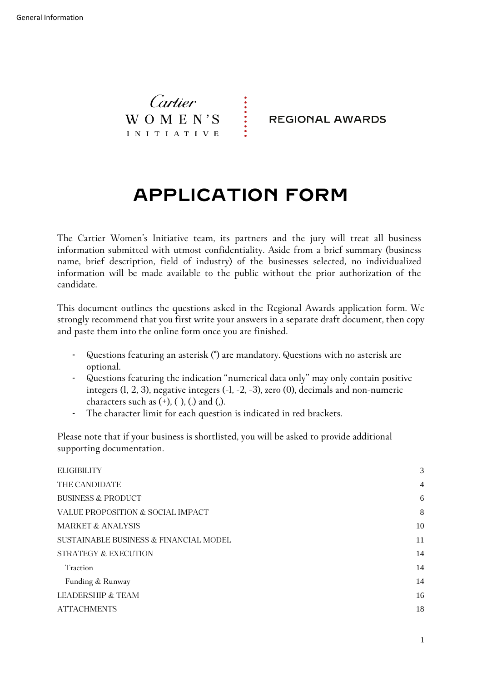Cartier  $W$  O M E N'S INITIATIVE

**REGIONAL AWARDS** 

# **APPLICATION FORM**

**The Cartier Women's Initiative team, its partners and the jury will treat all business information submitted with utmost confidentiality. Aside from a brief summary (business name, brief description, field of industry) of the businesses selected, no individualized information will be made available to the public without the prior authorization of the candidate.** 

**This document outlines the questions asked in the Regional Awards application form. We strongly recommend that you first write your answers in a separate draft document, then copy and paste them into the online form once you are finished.**

- **Questions featuring an asterisk (\*) are mandatory. Questions with no asterisk are optional.**
- **Questions featuring the indication "numerical data only" may only contain positive integers (1, 2, 3), negative integers (-1, -2, -3), zero (0), decimals and non-numeric characters such as (+), (-), (.) and (,).**
- **The character limit for each question is indicated in red brackets.**

**Please note that if your business is shortlisted, you will be asked to provide additional supporting documentation.**

| <b>ELIGIBILITY</b>                     | 3              |
|----------------------------------------|----------------|
| THE CANDIDATE                          | $\overline{4}$ |
| <b>BUSINESS &amp; PRODUCT</b>          | 6              |
| VALUE PROPOSITION & SOCIAL IMPACT      | 8              |
| <b>MARKET &amp; ANALYSIS</b>           | 10             |
| SUSTAINABLE BUSINESS & FINANCIAL MODEL | 11             |
| STRATEGY & EXECUTION                   | 14             |
| Traction                               | 14             |
| Funding & Runway                       | 14             |
| <b>LEADERSHIP &amp; TEAM</b>           | 16             |
| <b>ATTACHMENTS</b>                     | 18             |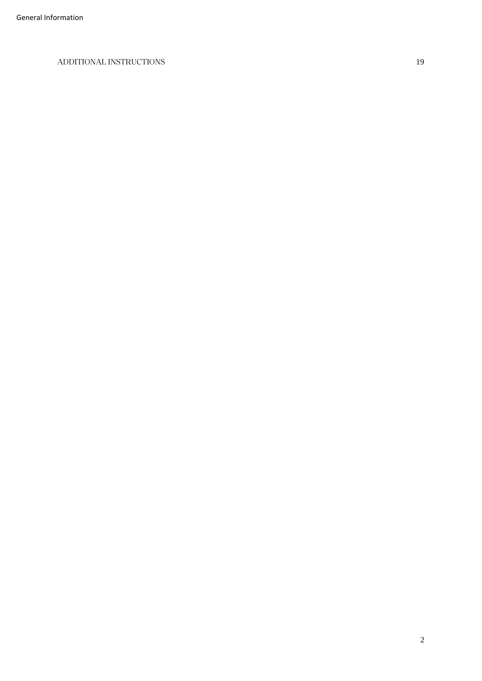#### <span id="page-1-0"></span>**[ADDITIONAL INSTRUCTIONS](#page-17-0)** 19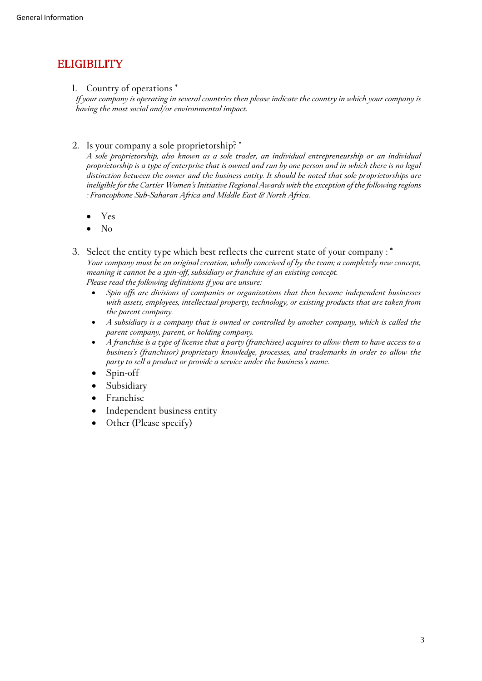# **ELIGIBILITY**

**1. Country of operations \***

*If your company is operating in several countries then please indicate the country in which your company is having the most social and/or environmental impact.*

**2. Is your company a sole proprietorship? \***

*A sole proprietorship, also known as a sole trader, an individual entrepreneurship or an individual proprietorship is a type of enterprise that is owned and run by one person and in which there is no legal distinction between the owner and the business entity. It should be noted that sole proprietorships are ineligible for the Cartier Women's Initiative Regional Awards with the exception of the following regions : Francophone Sub-Saharan Africa and Middle East & North Africa.*

- **Yes**
- $\bullet$  No

**3. Select the entity type which best reflects the current state of your company : \*** *Your company must be an original creation, wholly conceived of by the team; a completely new concept, meaning it cannot be a spin-off, subsidiary or franchise of an existing concept. Please read the following definitions if you are unsure:* 

- *Spin-offs are divisions of companies or organizations that then become independent businesses with assets, employees, intellectual property, technology, or existing products that are taken from the parent company.*
- *A subsidiary is a company that is owned or controlled by another company, which is called the parent company, parent, or holding company.*
- *A franchise is a type of license that a party (franchisee) acquires to allow them to have access to a business's (franchisor) proprietary knowledge, processes, and trademarks in order to allow the party to sell a product or provide a service under the business's name.*
- **Spin-off**
- **Subsidiary**
- **Franchise**
- **Independent business entity**
- <span id="page-2-0"></span>**Other (Please specify)**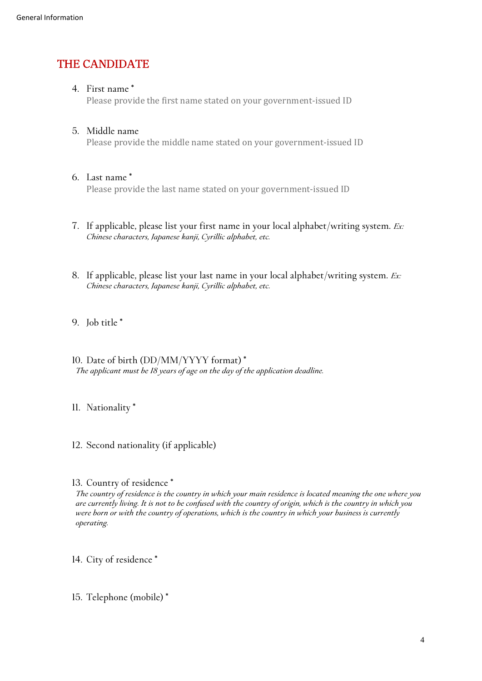## **THE CANDIDATE**

#### **4. First name \***

Please provide the first name stated on your government-issued ID

### **5. Middle name**

Please provide the middle name stated on your government-issued ID

#### **6. Last name \***

Please provide the last name stated on your government-issued ID

- **7. If applicable, please list your first name in your local alphabet/writing system.** *Ex: Chinese characters, Japanese kanji, Cyrillic alphabet, etc.*
- **8. If applicable, please list your last name in your local alphabet/writing system.** *Ex: Chinese characters, Japanese kanji, Cyrillic alphabet, etc.*
- **9. Job title \***
- **10. Date of birth (DD/MM/YYYY format) \*** *The applicant must be 18 years of age on the day of the application deadline.*

### **11. Nationality \***

**12. Second nationality (if applicable)**

#### **13. Country of residence \***

*The country of residence is the country in which your main residence is located meaning the one where you are currently living. It is not to be confused with the country of origin, which is the country in which you were born or with the country of operations, which is the country in which your business is currently operating.*

- **14. City of residence \***
- **15. Telephone (mobile) \***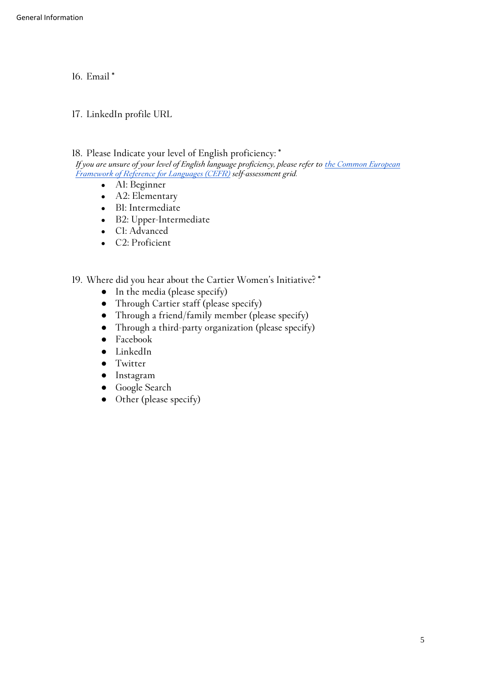**16. Email \***

**17. LinkedIn profile URL**

**18. Please Indicate your level of English proficiency: \***

*If you are unsure of your level of English language proficiency, please refer to the Common European Framework [of Reference for Languages \(CEFR\)](https://www.coe.int/en/web/common-european-framework-reference-languages/table-1-cefr-3.3-common-reference-levels-global-scale) self-assessment grid.*

- **A1: Beginner**
- **A2: Elementary**
- **B1: Intermediate**
- **B2: Upper-Intermediate**
- **C1: Advanced**
- **C2: Proficient**
- <span id="page-4-0"></span>**19. Where did you hear about the Cartier Women's Initiative? \***
	- **In the media (please specify)**
	- **Through Cartier staff (please specify)**
	- **Through a friend/family member (please specify)**
	- **Through a third-party organization (please specify)**
	- **Facebook**
	- **LinkedIn**
	- **Twitter**
	- **Instagram**
	- **Google Search**
	- **Other (please specify)**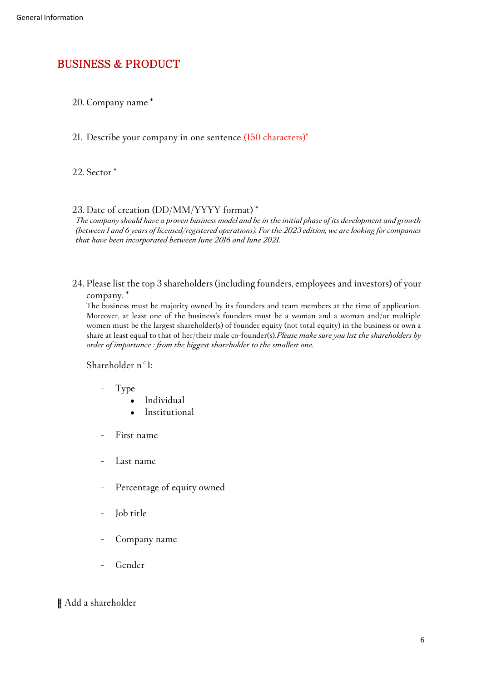### **BUSINESS & PRODUCT**

**20. Company name \***

**21. Describe your company in one sentence (150 characters)\***

**22. Sector \***

#### **23. Date of creation (DD/MM/YYYY format) \***

*The company should have a proven business model and be in the initial phase of its development and growth (between 1 and 6 years of licensed/registered operations). For the 2023 edition, we are looking for companies that have been incorporated between June 2016 and June 2021.*

**24. Please list the top 3 shareholders (including founders, employees and investors) of your company. \***

The business must be majority owned by its founders and team members at the time of application. Moreover, at least one of the business's founders must be a woman and a woman and/or multiple women must be the largest shareholder(s) of founder equity (not total equity) in the business or own a share at least equal to that of her/their male co-founder(s).*Please make sure you list the shareholders by order of importance : from the biggest shareholder to the smallest one.*

**Shareholder n°1:**

- **- Type**
	- **Individual**
	- **Institutional**
- **- First name**
- **- Last name**
- **- Percentage of equity owned**
- **- Job title**
- **- Company name**
- **- Gender**

#### **Add a shareholder**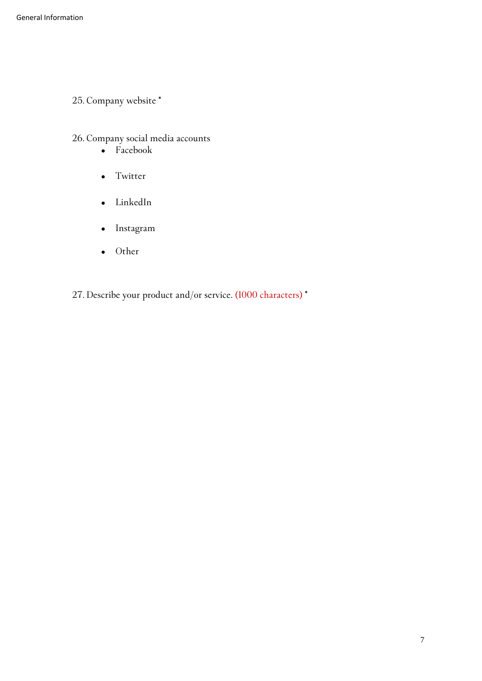**25. Company website \***

**26. Company social media accounts**

- **Facebook**
- **Twitter**
- **LinkedIn**
- **Instagram**
- **Other**
- <span id="page-6-0"></span>**27. Describe your product and/or service. (1000 characters) \***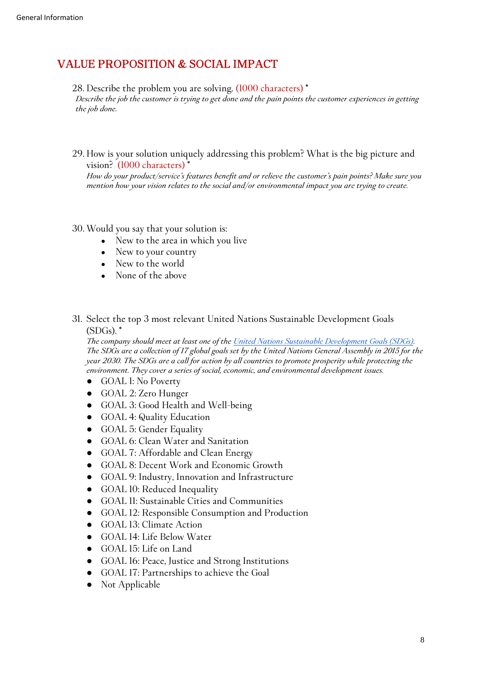### **VALUE PROPOSITION & SOCIAL IMPACT**

**28. Describe the problem you are solving. (1000 characters) \***

*Describe the job the customer is trying to get done and the pain points the customer experiences in getting the job done.*

**29. How is your solution uniquely addressing this problem? What is the big picture and vision? (1000 characters) \***

*How do your product/service's features benefit and or relieve the customer's pain points? Make sure you mention how your vision relates to the social and/or environmental impact you are trying to create.*

#### **30. Would you say that your solution is:**

- **New to the area in which you live**
- **New to your country**
- **New to the world**
- **None of the above**
- **31. Select the top 3 most relevant United Nations Sustainable Development Goals (SDGs). \***

*The company should meet at least one of the [United Nations Sustainable Development Goals \(SDGs\).](https://sdgs.un.org/goals)  The SDGs are a collection of 17 global goals set by the United Nations General Assembly in 2015 for the year 2030. The SDGs are a call for action by all countries to promote prosperity while protecting the environment. They cover a series of social, economic, and environmental development issues.*

- **GOAL 1: No Poverty**
- **GOAL 2: Zero Hunger**
- **GOAL 3: Good Health and Well-being**
- **GOAL 4: Quality Education**
- **GOAL 5: Gender Equality**
- **GOAL 6: Clean Water and Sanitation**
- **GOAL 7: Affordable and Clean Energy**
- **GOAL 8: Decent Work and Economic Growth**
- **GOAL 9: Industry, Innovation and Infrastructure**
- **GOAL 10: Reduced Inequality**
- **GOAL 11: Sustainable Cities and Communities**
- **GOAL 12: Responsible Consumption and Production**
- **GOAL 13: Climate Action**
- **GOAL 14: Life Below Water**
- **GOAL 15: Life on Land**
- **GOAL 16: Peace, Justice and Strong Institutions**
- **GOAL 17: Partnerships to achieve the Goal**
- **Not Applicable**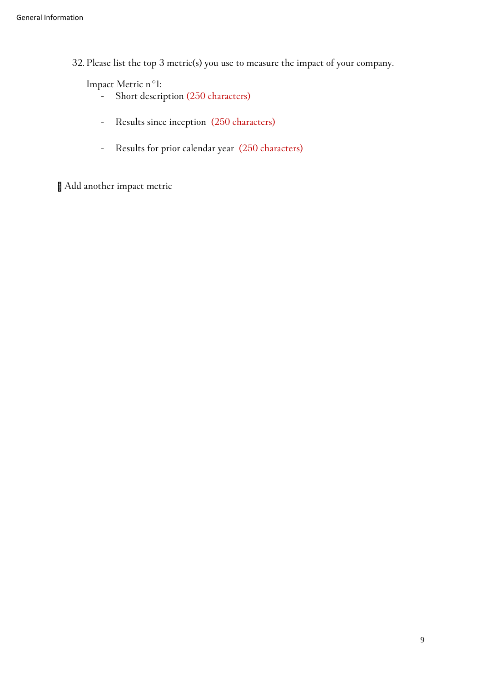**32. Please list the top 3 metric(s) you use to measure the impact of your company.**

**Impact Metric n°1:**

- **- Short description (250 characters)**
- **- Results since inception (250 characters)**
- **- Results for prior calendar year (250 characters)**

<span id="page-8-0"></span>**Add another impact metric**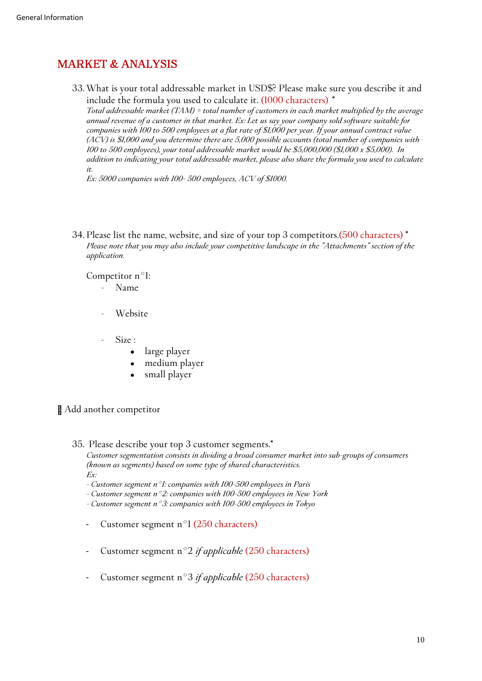## **MARKET & ANALYSIS**

**33. What is your total addressable market in USD\$? Please make sure you describe it and include the formula you used to calculate it. (1000 characters)** *\**

*Total addressable market (TAM) = total number of customers in each market multiplied by the average annual revenue of a customer in that market. Ex: Let us say your company sold software suitable for companies with 100 to 500 employees at a flat rate of \$1,000 per year. If your annual contract value (ACV) is \$1,000 and you determine there are 5,000 possible accounts (total number of companies with 100 to 500 employees), your total addressable market would be \$5,000,000 (\$1,000 x \$5,000). In addition to indicating your total addressable market, please also share the formula you used to calculate it.*

*Ex: 5000 companies with 100- 500 employees, ACV of \$1000.* 

**34. Please list the name, website, and size of your top 3 competitors.(500 characters) \*** *Please note that you may also include your competitive landscape in the "Attachments" section of the application.*

**Competitor n°1:**

- **- Name**
- **- Website**
- **- Size :**
	- **large player**
	- medium player
	- small player

**Add another competitor**

**35. Please describe your top 3 customer segments.\***

*Customer segmentation consists in dividing a broad consumer market into sub-groups of consumers (known as segments) based on some type of shared characteristics. Ex:* 

- *- Customer segment n°1: companies with 100-500 employees in Paris*
- *- Customer segment n°2: companies with 100-500 employees in New York*

*- Customer segment n°3: companies with 100-500 employees in Tokyo*

- **Customer segment n°1 (250 characters)**
- **Customer segment n°2** *if applicable* **(250 characters)**
- <span id="page-9-0"></span>- **Customer segment n°3** *if applicable* **(250 characters)**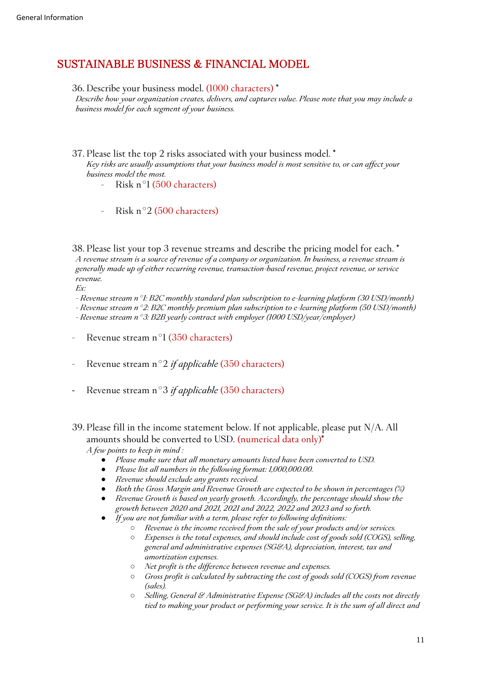### **SUSTAINABLE BUSINESS & FINANCIAL MODEL**

**36. Describe your business model. (1000 characters) \***

*Describe how your organization creates, delivers, and captures value. Please note that you may include a business model for each segment of your business.*

- **37. Please list the top 2 risks associated with your business model. \*** *Key risks are usually assumptions that your business model is most sensitive to, or can affect your business model the most.*
	- **- Risk n°1 (500 characters)**
	- **- Risk n°2 (500 characters)**

**38. Please list your top 3 revenue streams and describe the pricing model for each. \*** *A revenue stream is a source of revenue of a company or organization. In business, a revenue stream is generally made up of either recurring revenue, transaction-based revenue, project revenue, or service revenue.*

*Ex:*

- *- Revenue stream n°1: B2C monthly standard plan subscription to e-learning platform (30 USD/month)*
- *- Revenue stream n°2: B2C monthly premium plan subscription to e-learning platform (50 USD/month) - Revenue stream n°3: B2B yearly contract with employer (1000 USD/year/employer)*
- **- Revenue stream n°1 (350 characters)**
- **- Revenue stream n°2** *if applicable* **(350 characters)**
- **Revenue stream n°3** *if applicable* **(350 characters)**
- **39. Please fill in the income statement below. If not applicable, please put N/A. All amounts should be converted to USD. (numerical data only)\*** *A few points to keep in mind :*
	- Please make sure that all monetary amounts listed have been converted to USD.
	- Please list all numbers in the following format: 1,000,000.00.
	- *Revenue should exclude any grants received.*
	- *Both the Gross Margin and Revenue Growth are expected to be shown in percentages (%)*
	- *Revenue Growth is based on yearly growth. Accordingly, the percentage should show the growth between 2020 and 2021, 2021 and 2022, 2022 and 2023 and so forth.*
	- *If you are not familiar with a term, please refer to following definitions:*
		- *Revenue is the income received from the sale of your products and/or services.*
		- *Expenses is the total expenses, and should include cost of goods sold (COGS), selling, general and administrative expenses (SG&A), depreciation, interest, tax and amortization expenses.*
		- *Net profit is the difference between revenue and expenses.*
		- *Gross profit is calculated by subtracting the cost of goods sold (COGS) from revenue (sales).*
		- *Selling, General & Administrative Expense (SG&A) includes all the costs not directly tied to making your product or performing your service. It is the sum of all direct and*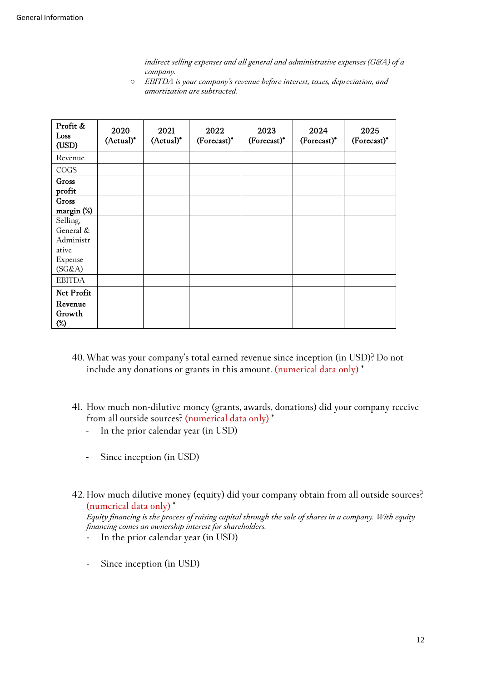*indirect selling expenses and all general and administrative expenses (G&A) of a company.* 

○ *EBITDA is your company's revenue before interest, taxes, depreciation, and amortization are subtracted.*

| Profit &<br>Loss<br>(USD) | 2020<br>(Actual)* | 2021<br>$(Actual)^*$ | 2022<br>(Forecast)* | 2023<br>(Forecast)* | 2024<br>(Forecast)* | 2025<br>(Forecast)* |
|---------------------------|-------------------|----------------------|---------------------|---------------------|---------------------|---------------------|
| Revenue                   |                   |                      |                     |                     |                     |                     |
| COGS                      |                   |                      |                     |                     |                     |                     |
| Gross<br>profit           |                   |                      |                     |                     |                     |                     |
| Gross                     |                   |                      |                     |                     |                     |                     |
| $\frac{\text{margin}}{2}$ |                   |                      |                     |                     |                     |                     |
| Selling,                  |                   |                      |                     |                     |                     |                     |
| General &                 |                   |                      |                     |                     |                     |                     |
| Administr                 |                   |                      |                     |                     |                     |                     |
| ative                     |                   |                      |                     |                     |                     |                     |
| Expense                   |                   |                      |                     |                     |                     |                     |
| (SG&A)                    |                   |                      |                     |                     |                     |                     |
| <b>EBITDA</b>             |                   |                      |                     |                     |                     |                     |
| Net Profit                |                   |                      |                     |                     |                     |                     |
| Revenue                   |                   |                      |                     |                     |                     |                     |
| Growth                    |                   |                      |                     |                     |                     |                     |
| $(\%)$                    |                   |                      |                     |                     |                     |                     |

- **40. What was your company's total earned revenue since inception (in USD)? Do not include any donations or grants in this amount. (numerical data only) \***
- **41. How much non-dilutive money (grants, awards, donations) did your company receive from all outside sources? (numerical data only) \***
	- **In the prior calendar year (in USD)**
	- **Since inception (in USD)**
- **42. How much dilutive money (equity) did your company obtain from all outside sources? (numerical data only) \***

*Equity financing is the process of raising capital through the sale of shares in a company. With equity financing comes an ownership interest for shareholders.*

- **In the prior calendar year (in USD)**
- **Since inception (in USD)**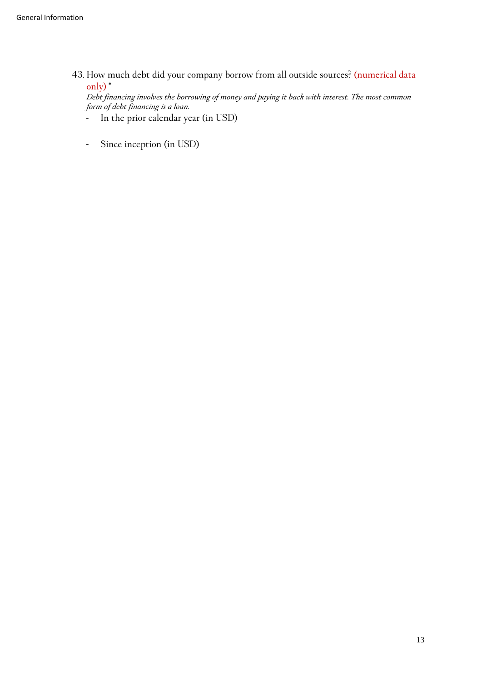**43. How much debt did your company borrow from all outside sources? (numerical data only) \***

*Debt financing involves the borrowing of money and paying it back with interest. The most common form of debt financing is a loan.*

- **In the prior calendar year (in USD)**
- <span id="page-12-0"></span>- **Since inception (in USD)**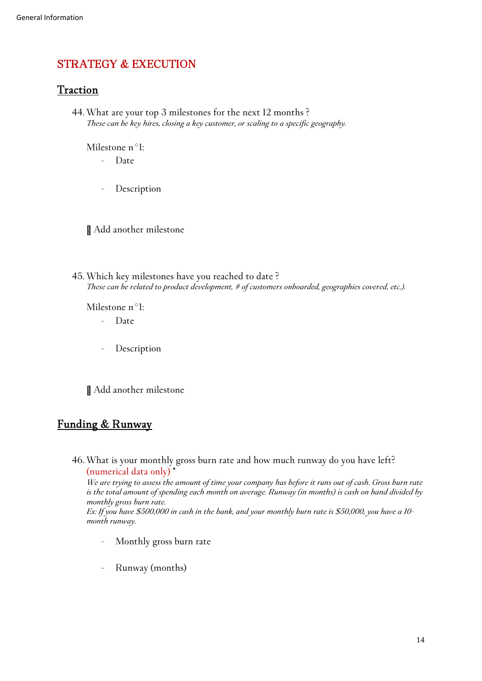### **STRATEGY & EXECUTION**

### <span id="page-13-0"></span>**Traction**

**44. What are your top 3 milestones for the next 12 months ?** *These can be key hires, closing a key customer, or scaling to a specific geography.*

**Milestone n°1:**

- **- Date**
- **- Description**

**Add another milestone**

**45. Which key milestones have you reached to date ?** *These can be related to product development, # of customers onboarded, geographies covered, etc.).*

**Milestone n°1:**

- **- Date**
- **- Description**

**Add another milestone**

### <span id="page-13-1"></span>**Funding & Runway**

**46. What is your monthly gross burn rate and how much runway do you have left? (numerical data only) \***

*We are trying to assess the amount of time your company has before it runs out of cash. Gross burn rate is the total amount of spending each month on average. Runway (in months) is cash on hand divided by monthly gross burn rate. Ex: If you have \$500,000 in cash in the bank, and your monthly burn rate is \$50,000, you have a 10 month runway.*

- **- Monthly gross burn rate**
- **- Runway (months)**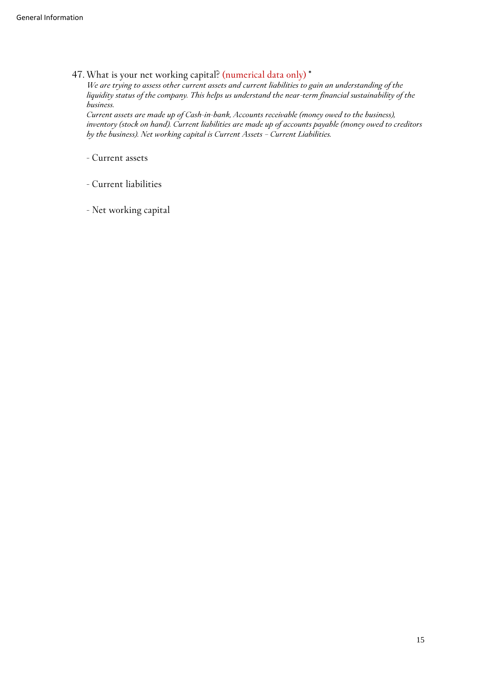**47. What is your net working capital? (numerical data only) \***

*We are trying to assess other current assets and current liabilities to gain an understanding of the liquidity status of the company. This helps us understand the near-term financial sustainability of the business.* 

*Current assets are made up of Cash-in-bank, Accounts receivable (money owed to the business), inventory (stock on hand). Current liabilities are made up of accounts payable (money owed to creditors by the business). Net working capital is Current Assets – Current Liabilities.* 

**- Current assets**

**- Current liabilities**

<span id="page-14-0"></span>**- Net working capital**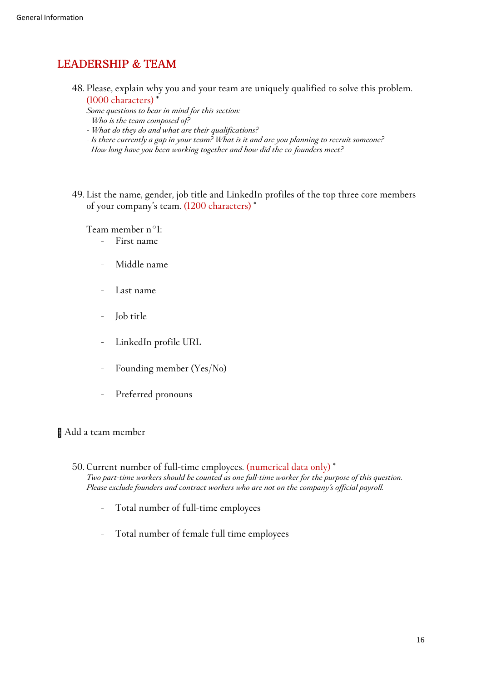### **LEADERSHIP & TEAM**

- **48. Please, explain why you and your team are uniquely qualified to solve this problem. (1000 characters) \***
	- *Some questions to bear in mind for this section:*
	- *- Who is the team composed of?*
	- *- What do they do and what are their qualifications?*
	- *- Is there currently a gap in your team? What is it and are you planning to recruit someone?*
	- *- How long have you been working together and how did the co-founders meet?*
- **49. List the name, gender, job title and LinkedIn profiles of the top three core members of your company's team. (1200 characters) \***

**Team member n°1:**

- **- First name**
- **- Middle name**
- **- Last name**
- **- Job title**
- **- LinkedIn profile URL**
- **- Founding member (Yes/No)**
- **- Preferred pronouns**

#### **Add a team member**

- **50. Current number of full-time employees. (numerical data only) \*** *Two part-time workers should be counted as one full-time worker for the purpose of this question. Please exclude founders and contract workers who are not on the company's official payroll.*
	- **- Total number of full-time employees**
	- **- Total number of female full time employees**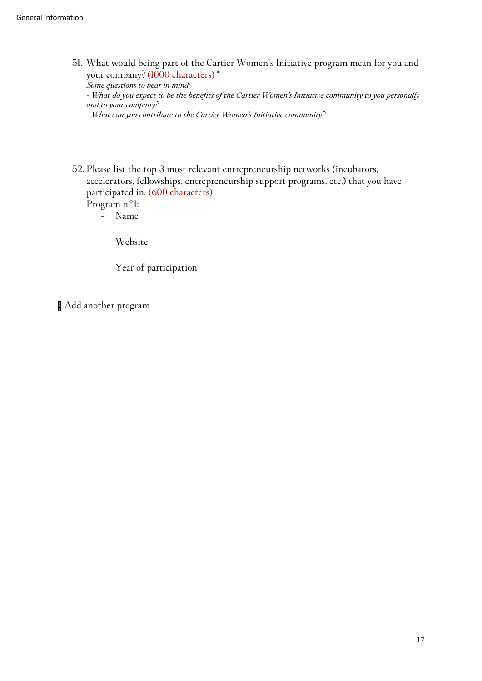**51. What would being part of the Cartier Women's Initiative program mean for you and your company? (1000 characters) \***

*Some questions to bear in mind: - What do you expect to be the benefits of the Cartier Women's Initiative community to you personally and to your company? - What can you contribute to the Cartier Women's Initiative community?*

- 
- **52. Please list the top 3 most relevant entrepreneurship networks (incubators, accelerators, fellowships, entrepreneurship support programs, etc.) that you have participated in. (600 characters)**

**Program n°1: - Name**

- **- Website**
- **- Year of participation**

<span id="page-16-0"></span>**Add another program**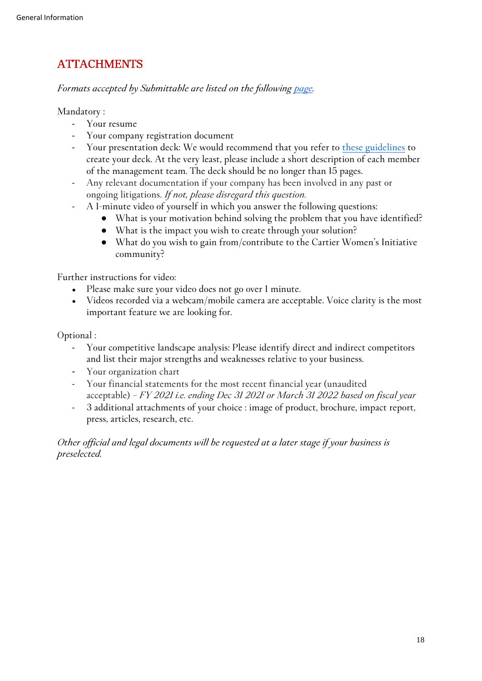# **ATTACHMENTS**

*Formats accepted by Submittable are listed on the following [page.](https://submittable.help/en/articles/1711811-what-kinds-of-file-types-can-i-accept-in-my-form)*

**Mandatory :**

- **Your resume**
- **Your company registration document**
- **Your presentation deck: We would recommend that you refer to [these guidelines](https://www.sequoiacap.com/article/how-to-present-to-investors/) to create your deck. At the very least, please include a short description of each member of the management team. The deck should be no longer than 15 pages.**
- **Any relevant documentation if your company has been involved in any past or ongoing litigations.** *If not, please disregard this question.*
- **A 1-minute video of yourself in which you answer the following questions:** 
	- **What is your motivation behind solving the problem that you have identified?**
	- **What is the impact you wish to create through your solution?**
	- **What do you wish to gain from/contribute to the Cartier Women's Initiative community?**

**Further instructions for video:**

- **Please make sure your video does not go over 1 minute.**
- Videos recorded via a webcam/mobile camera are acceptable. Voice clarity is the most **important feature we are looking for.**

**Optional :**

- **Your competitive landscape analysis: Please identify direct and indirect competitors and list their major strengths and weaknesses relative to your business.**
- **Your organization chart**
- **Your financial statements for the most recent financial year (unaudited acceptable)** *– FY 2021 i.e. ending Dec 31 2021 or March 31 2022 based on fiscal year*
- **3 additional attachments of your choice : image of product, brochure, impact report, press, articles, research, etc.**

<span id="page-17-0"></span>*Other official and legal documents will be requested at a later stage if your business is preselected.*